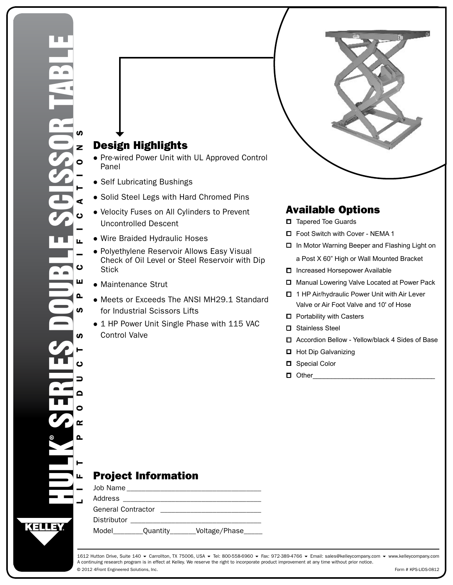## Design Highlights

- Pre-wired Power Unit with UL Approved Control Panel
- Self Lubricating Bushings
- Solid Steel Legs with Hard Chromed Pins
- Velocity Fuses on All Cylinders to Prevent Uncontrolled Descent
- Wire Braided Hydraulic Hoses
- Polyethylene Reservoir Allows Easy Visual Check of Oil Level or Steel Reservoir with Dip **Stick**
- Maintenance Strut
- Meets or Exceeds The ANSI MH29.1 Standard for Industrial Scissors Lifts
- 1 HP Power Unit Single Phase with 115 VAC Control Valve

## Available Options

- □ Tapered Toe Guards
- □ Foot Switch with Cover NEMA 1
- In Motor Warning Beeper and Flashing Light on a Post X 60" High or Wall Mounted Bracket
- □ Increased Horsepower Available
- Manual Lowering Valve Located at Power Pack
- □ 1 HP Air/hydraulic Power Unit with Air Lever Valve or Air Foot Valve and 10' of Hose
- $\Box$  Portability with Casters
- Stainless Steel
- Accordion Bellow Yellow/black 4 Sides of Base
- $\Box$  Hot Dip Galvanizing
- □ Special Color
- Other\_\_\_\_\_\_\_\_\_\_\_\_\_\_\_\_\_\_\_\_\_\_\_\_\_\_\_\_\_\_\_\_\_

## Project Information

Job Name \_\_\_\_\_\_\_\_\_\_\_\_\_\_\_\_\_\_\_\_\_\_\_\_\_\_\_\_\_\_\_\_\_\_\_\_

Address \_\_\_\_\_\_\_\_\_\_\_\_\_\_\_\_\_\_\_\_\_\_\_\_\_\_\_\_\_\_\_\_\_\_\_\_\_

General Contractor \_\_\_\_\_\_\_\_\_\_\_\_\_\_\_\_\_\_\_\_\_\_\_\_\_\_\_ Distributor \_\_\_\_\_\_\_\_\_\_\_\_\_\_\_\_\_\_\_\_\_\_\_\_\_\_\_\_\_\_\_\_\_\_\_

Model\_\_\_\_\_\_\_\_Quantity\_\_\_\_\_\_\_Voltage/Phase\_\_\_\_\_

© 2012 4Front Engineered Solutions, Inc. 1612 Hutton Drive, Suite 140 ▼ Carrollton, TX 75006, USA ▼ Tel: 800-558-6960 ▼ Fax: 972-389-4766 ▼ Email: sales@kelleycompany.com ▼ www.kelleycompany.com A continuing research program is in effect at Kelley. We reserve the right to incorporate product improvement at any time without prior notice.